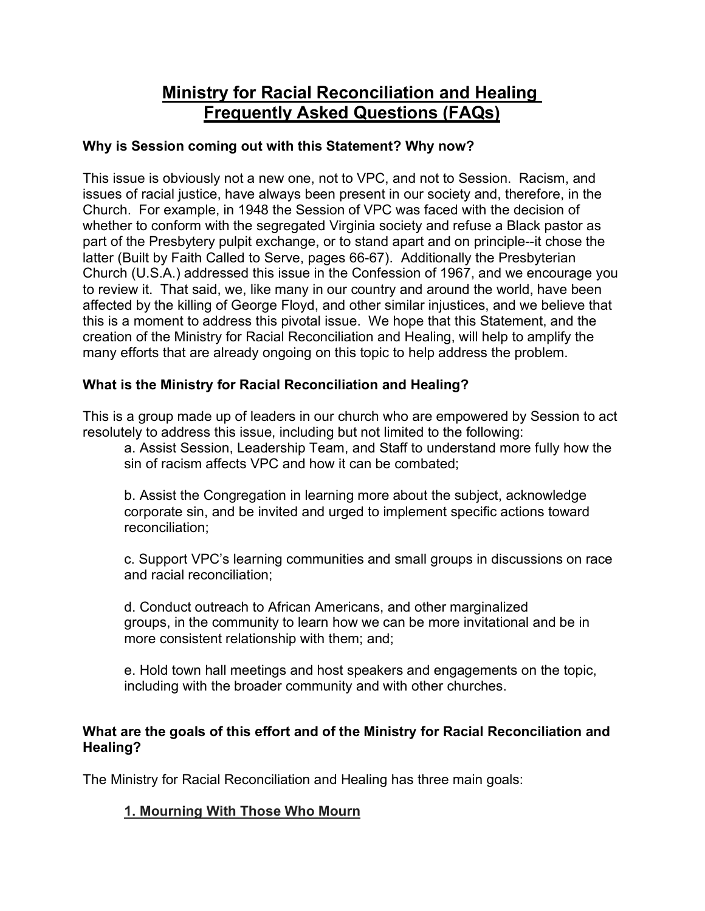# **Ministry for Racial Reconciliation and Healing Frequently Asked Questions (FAQs)**

## **Why is Session coming out with this Statement? Why now?**

This issue is obviously not a new one, not to VPC, and not to Session. Racism, and issues of racial justice, have always been present in our society and, therefore, in the Church. For example, in 1948 the Session of VPC was faced with the decision of whether to conform with the segregated Virginia society and refuse a Black pastor as part of the Presbytery pulpit exchange, or to stand apart and on principle--it chose the latter (Built by Faith Called to Serve, pages 66-67). Additionally the Presbyterian Church (U.S.A.) addressed this issue in the Confession of 1967, and we encourage you to review it. That said, we, like many in our country and around the world, have been affected by the killing of George Floyd, and other similar injustices, and we believe that this is a moment to address this pivotal issue. We hope that this Statement, and the creation of the Ministry for Racial Reconciliation and Healing, will help to amplify the many efforts that are already ongoing on this topic to help address the problem.

## **What is the Ministry for Racial Reconciliation and Healing?**

This is a group made up of leaders in our church who are empowered by Session to act resolutely to address this issue, including but not limited to the following:

a. Assist Session, Leadership Team, and Staff to understand more fully how the sin of racism affects VPC and how it can be combated;

b. Assist the Congregation in learning more about the subject, acknowledge corporate sin, and be invited and urged to implement specific actions toward reconciliation;

c. Support VPC's learning communities and small groups in discussions on race and racial reconciliation;

d. Conduct outreach to African Americans, and other marginalized groups, in the community to learn how we can be more invitational and be in more consistent relationship with them; and;

e. Hold town hall meetings and host speakers and engagements on the topic, including with the broader community and with other churches.

#### **What are the goals of this effort and of the Ministry for Racial Reconciliation and Healing?**

The Ministry for Racial Reconciliation and Healing has three main goals:

## **1. Mourning With Those Who Mourn**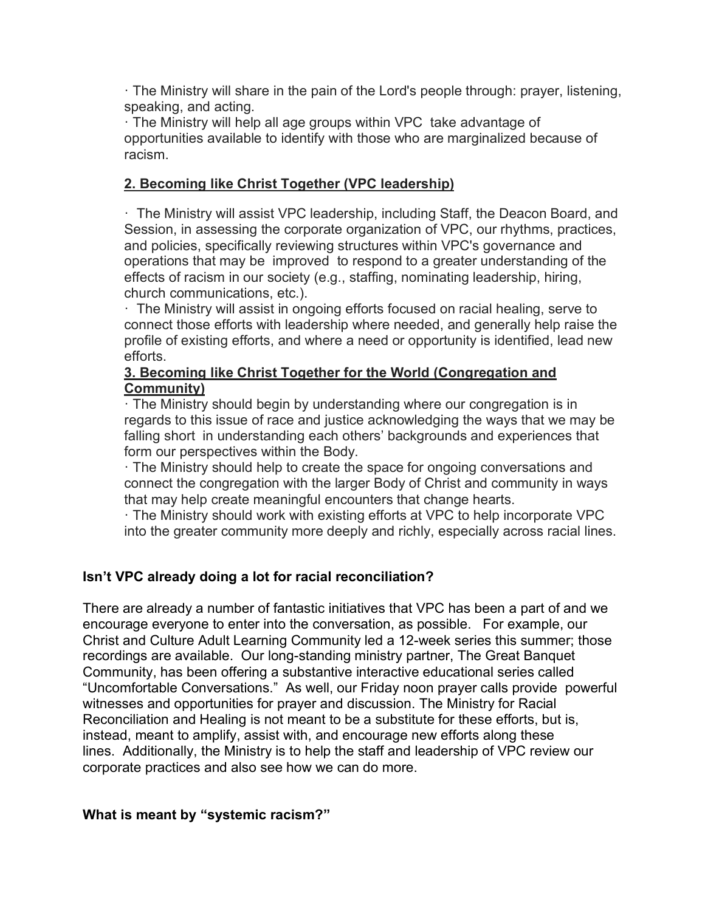· The Ministry will share in the pain of the Lord's people through: prayer, listening, speaking, and acting.

· The Ministry will help all age groups within VPC take advantage of opportunities available to identify with those who are marginalized because of racism.

## **2. Becoming like Christ Together (VPC leadership)**

· The Ministry will assist VPC leadership, including Staff, the Deacon Board, and Session, in assessing the corporate organization of VPC, our rhythms, practices, and policies, specifically reviewing structures within VPC's governance and operations that may be improved to respond to a greater understanding of the effects of racism in our society (e.g., staffing, nominating leadership, hiring, church communications, etc.).

· The Ministry will assist in ongoing efforts focused on racial healing, serve to connect those efforts with leadership where needed, and generally help raise the profile of existing efforts, and where a need or opportunity is identified, lead new efforts.

#### **3. Becoming like Christ Together for the World (Congregation and Community)**

· The Ministry should begin by understanding where our congregation is in regards to this issue of race and justice acknowledging the ways that we may be falling short in understanding each others' backgrounds and experiences that form our perspectives within the Body.

· The Ministry should help to create the space for ongoing conversations and connect the congregation with the larger Body of Christ and community in ways that may help create meaningful encounters that change hearts.

· The Ministry should work with existing efforts at VPC to help incorporate VPC into the greater community more deeply and richly, especially across racial lines.

## **Isn't VPC already doing a lot for racial reconciliation?**

There are already a number of fantastic initiatives that VPC has been a part of and we encourage everyone to enter into the conversation, as possible. For example, our Christ and Culture Adult Learning Community led a 12-week series this summer; those recordings are available. Our long-standing ministry partner, The Great Banquet Community, has been offering a substantive interactive educational series called "Uncomfortable Conversations." As well, our Friday noon prayer calls provide powerful witnesses and opportunities for prayer and discussion. The Ministry for Racial Reconciliation and Healing is not meant to be a substitute for these efforts, but is, instead, meant to amplify, assist with, and encourage new efforts along these lines. Additionally, the Ministry is to help the staff and leadership of VPC review our corporate practices and also see how we can do more.

## **What is meant by "systemic racism?"**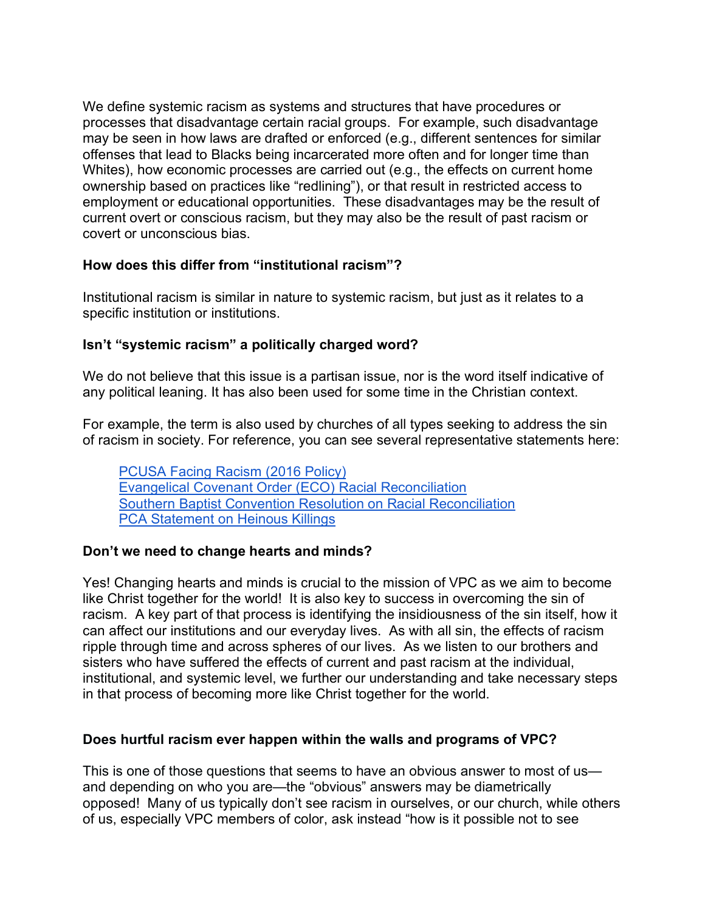We define systemic racism as systems and structures that have procedures or processes that disadvantage certain racial groups. For example, such disadvantage may be seen in how laws are drafted or enforced (e.g., different sentences for similar offenses that lead to Blacks being incarcerated more often and for longer time than Whites), how economic processes are carried out (e.g., the effects on current home ownership based on practices like "redlining"), or that result in restricted access to employment or educational opportunities. These disadvantages may be the result of current overt or conscious racism, but they may also be the result of past racism or covert or unconscious bias.

### **How does this differ from "institutional racism"?**

Institutional racism is similar in nature to systemic racism, but just as it relates to a specific institution or institutions.

### **Isn't "systemic racism" a politically charged word?**

We do not believe that this issue is a partisan issue, nor is the word itself indicative of any political leaning. It has also been used for some time in the Christian context.

For example, the term is also used by churches of all types seeking to address the sin of racism in society. For reference, you can see several representative statements here:

PCUSA Facing Racism (2016 Policy) Evangelical Covenant Order (ECO) Racial Reconciliation Southern Baptist Convention Resolution on Racial Reconciliation PCA Statement on Heinous Killings

#### **Don't we need to change hearts and minds?**

Yes! Changing hearts and minds is crucial to the mission of VPC as we aim to become like Christ together for the world! It is also key to success in overcoming the sin of racism. A key part of that process is identifying the insidiousness of the sin itself, how it can affect our institutions and our everyday lives. As with all sin, the effects of racism ripple through time and across spheres of our lives. As we listen to our brothers and sisters who have suffered the effects of current and past racism at the individual, institutional, and systemic level, we further our understanding and take necessary steps in that process of becoming more like Christ together for the world.

#### **Does hurtful racism ever happen within the walls and programs of VPC?**

This is one of those questions that seems to have an obvious answer to most of us and depending on who you are—the "obvious" answers may be diametrically opposed! Many of us typically don't see racism in ourselves, or our church, while others of us, especially VPC members of color, ask instead "how is it possible not to see